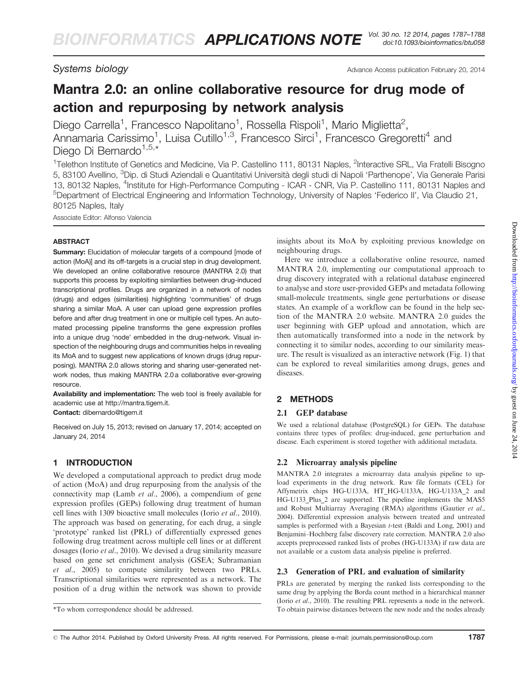Systems biology and the Systems biology and the Systems biology and the Advance Access publication February 20, 2014

# Mantra 2.0: an online collaborative resource for drug mode of action and repurposing by network analysis

Diego Carrella<sup>1</sup>, Francesco Napolitano<sup>1</sup>, Rossella Rispoli<sup>1</sup>, Mario Miglietta<sup>2</sup>, Annamaria Carissimo<sup>1</sup>, Luisa Cutillo<sup>1,3</sup>, Francesco Sirci<sup>1</sup>, Francesco Gregoretti<sup>4</sup> and Diego Di Bernardo $1,5,*$ 

<sup>1</sup>Telethon Institute of Genetics and Medicine, Via P. Castellino 111, 80131 Naples, <sup>2</sup>Interactive SRL, Via Fratelli Bisogno 5, 83100 Avellino, <sup>3</sup>Dip. di Studi Aziendali e Quantitativi Università degli studi di Napoli 'Parthenope', Via Generale Parisi 13, 80132 Naples, <sup>4</sup>Institute for High-Performance Computing - ICAR - CNR, Via P. Castellino 111, 80131 Naples and <sup>5</sup>Department of Electrical Engineering and Information Technology, University of Naples 'Federico II', Via Claudio 21, 80125 Naples, Italy

Associate Editor: Alfonso Valencia

#### ABSTRACT

Summary: Elucidation of molecular targets of a compound [mode of action (MoA)] and its off-targets is a crucial step in drug development. We developed an online collaborative resource (MANTRA 2.0) that supports this process by exploiting similarities between drug-induced transcriptional profiles. Drugs are organized in a network of nodes (drugs) and edges (similarities) highlighting 'communities' of drugs sharing a similar MoA. A user can upload gene expression profiles before and after drug treatment in one or multiple cell types. An automated processing pipeline transforms the gene expression profiles into a unique drug 'node' embedded in the drug-network. Visual inspection of the neighbouring drugs and communities helps in revealing its MoA and to suggest new applications of known drugs (drug repurposing). MANTRA 2.0 allows storing and sharing user-generated network nodes, thus making MANTRA 2.0 a collaborative ever-growing resource.

Availability and implementation: The web tool is freely available for academic use at<http://mantra.tigem.it>.

Contact: [dibernardo@tigem.it](mailto:dibernardo@tigem.it)

Received on July 15, 2013; revised on January 17, 2014; accepted on January 24, 2014

# 1 INTRODUCTION

We developed a computational approach to predict drug mode of action (MoA) and drug repurposing from the analysis of the connectivity map (Lamb et al[., 2006\)](#page-1-0), a compendium of gene expression profiles (GEPs) following drug treatment of human cell lines with 1309 bioactive small molecules (Iorio et al[., 2010\)](#page-1-0). The approach was based on generating, for each drug, a single 'prototype' ranked list (PRL) of differentially expressed genes following drug treatment across multiple cell lines or at different dosages (Iorio et al[., 2010](#page-1-0)). We devised a drug similarity measure based on gene set enrichment analysis (GSEA; [Subramanian](#page-1-0) et al[., 2005](#page-1-0)) to compute similarity between two PRLs. Transcriptional similarities were represented as a network. The position of a drug within the network was shown to provide insights about its MoA by exploiting previous knowledge on neighbouring drugs.

Here we introduce a collaborative online resource, named MANTRA 2.0, implementing our computational approach to drug discovery integrated with a relational database engineered to analyse and store user-provided GEPs and metadata following small-molecule treatments, single gene perturbations or disease states. An example of a workflow can be found in the help section of the MANTRA 2.0 website. MANTRA 2.0 guides the user beginning with GEP upload and annotation, which are then automatically transformed into a node in the network by connecting it to similar nodes, according to our similarity measure. The result is visualized as an interactive network [\(Fig. 1\)](#page-1-0) that can be explored to reveal similarities among drugs, genes and diseases.

# 2 METHODS

### 2.1 GEP database

We used a relational database (PostgreSQL) for GEPs. The database contains three types of profiles: drug-induced, gene perturbation and disease. Each experiment is stored together with additional metadata.

### 2.2 Microarray analysis pipeline

MANTRA 2.0 integrates a microarray data analysis pipeline to upload experiments in the drug network. Raw file formats (CEL) for Affymetrix chips HG-U133A, HT\_HG-U133A, HG-U133A\_2 and HG-U133 Plus 2 are supported. The pipeline implements the MAS5 and Robust Multiarray Averaging (RMA) algorithms ([Gautier](#page-1-0) et al., [2004](#page-1-0)). Differential expression analysis between treated and untreated samples is performed with a Bayesian t-test [\(Baldi and Long, 2001](#page-1-0)) and Benjamini–Hochberg false discovery rate correction. MANTRA 2.0 also accepts preprocessed ranked lists of probes (HG-U133A) if raw data are not available or a custom data analysis pipeline is preferred.

### 2.3 Generation of PRL and evaluation of similarity

PRLs are generated by merging the ranked lists corresponding to the same drug by applying the Borda count method in a hierarchical manner (Iorio et al[., 2010\)](#page-1-0). The resulting PRL represents a node in the network. \*To whom correspondence should be addressed. To obtain pairwise distances between the new node and the nodes already